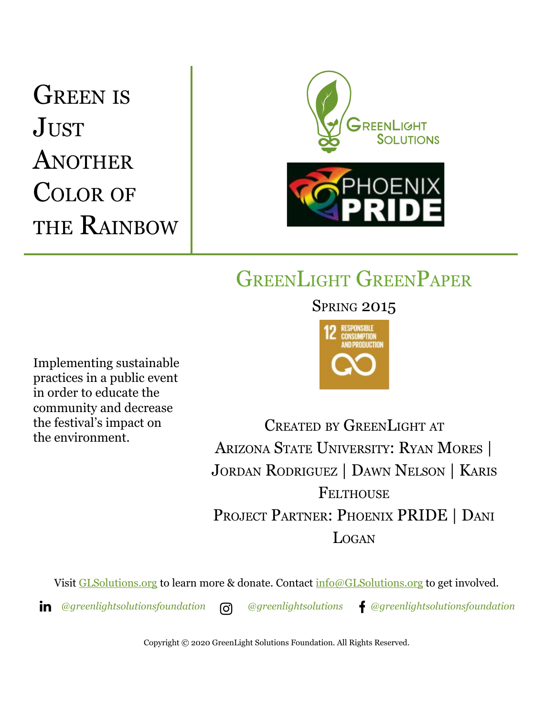# GREEN IS **JUST** ANOTHER COLOR OF THE RAINBOW



## GREENLIGHT GREENPAPER

Implementing sustainable practices in a public event in order to educate the community and decrease the festival's impact on the environment.

### **SPRING 2015**



CREATED BY GREENLIGHT AT ARIZONA STATE UNIVERSITY: RYAN MORES | JORDAN RODRIGUEZ | DAWN NELSON | KARIS **FELTHOUSE** PROJECT PARTNER: PHOENIX PRIDE | DANI LOGAN

Visit [GLSolutions.org](https://www.glsolutions.org/) to learn more & donate. Contact  $\frac{info@GLSolutions.org}{info@GLSolutions.org}$  to get involved.

*[@greenlightsolutionsfoundation](https://www.linkedin.com/company/10571635) [@greenlightsolutions](https://www.instagram.com/greenlightsolutions/) [@greenlightsolutionsfoundation](https://www.facebook.com/GreenLightSolutionsFoundation/)*

Copyright © 2020 GreenLight Solutions Foundation. All Rights Reserved.